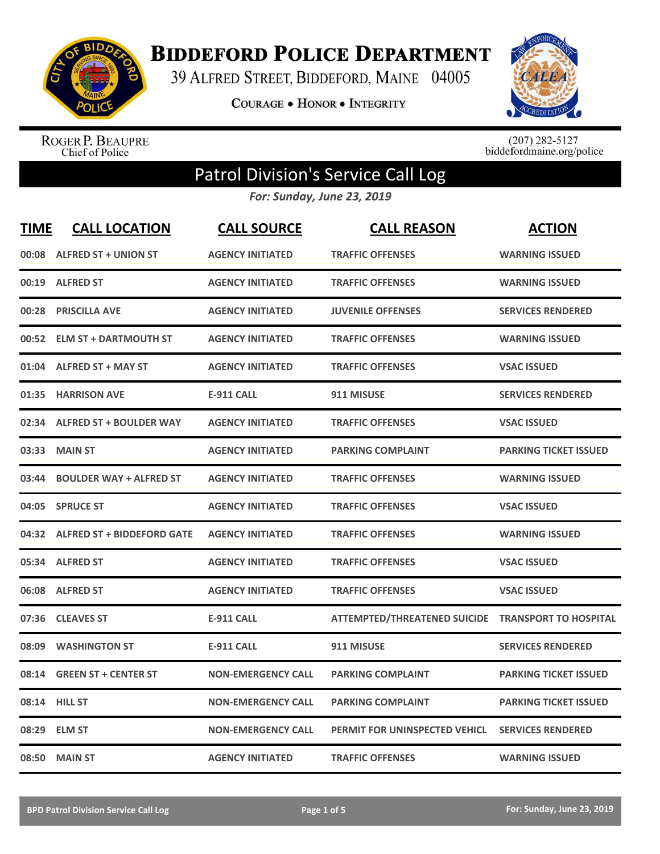

**BIDDEFORD POLICE DEPARTMENT** 

39 ALFRED STREET, BIDDEFORD, MAINE 04005

**COURAGE . HONOR . INTEGRITY** 



ROGER P. BEAUPRE<br>Chief of Police

 $(207)$  282-5127<br>biddefordmaine.org/police

## Patrol Division's Service Call Log

*For: Sunday, June 23, 2019*

| <b>TIME</b> | <b>CALL LOCATION</b>             | <b>CALL SOURCE</b>        | <b>CALL REASON</b>                                 | <b>ACTION</b>                |
|-------------|----------------------------------|---------------------------|----------------------------------------------------|------------------------------|
|             | 00:08 ALFRED ST + UNION ST       | <b>AGENCY INITIATED</b>   | <b>TRAFFIC OFFENSES</b>                            | <b>WARNING ISSUED</b>        |
| 00:19       | <b>ALFRED ST</b>                 | <b>AGENCY INITIATED</b>   | <b>TRAFFIC OFFENSES</b>                            | <b>WARNING ISSUED</b>        |
| 00:28       | <b>PRISCILLA AVE</b>             | <b>AGENCY INITIATED</b>   | <b>JUVENILE OFFENSES</b>                           | <b>SERVICES RENDERED</b>     |
| 00:52       | <b>ELM ST + DARTMOUTH ST</b>     | <b>AGENCY INITIATED</b>   | <b>TRAFFIC OFFENSES</b>                            | <b>WARNING ISSUED</b>        |
| 01:04       | <b>ALFRED ST + MAY ST</b>        | <b>AGENCY INITIATED</b>   | <b>TRAFFIC OFFENSES</b>                            | <b>VSAC ISSUED</b>           |
| 01:35       | <b>HARRISON AVE</b>              | <b>E-911 CALL</b>         | 911 MISUSE                                         | <b>SERVICES RENDERED</b>     |
| 02:34       | <b>ALFRED ST + BOULDER WAY</b>   | <b>AGENCY INITIATED</b>   | <b>TRAFFIC OFFENSES</b>                            | <b>VSAC ISSUED</b>           |
| 03:33       | <b>MAIN ST</b>                   | <b>AGENCY INITIATED</b>   | <b>PARKING COMPLAINT</b>                           | <b>PARKING TICKET ISSUED</b> |
| 03:44       | <b>BOULDER WAY + ALFRED ST</b>   | <b>AGENCY INITIATED</b>   | <b>TRAFFIC OFFENSES</b>                            | <b>WARNING ISSUED</b>        |
| 04:05       | <b>SPRUCE ST</b>                 | <b>AGENCY INITIATED</b>   | <b>TRAFFIC OFFENSES</b>                            | <b>VSAC ISSUED</b>           |
|             | 04:32 ALFRED ST + BIDDEFORD GATE | <b>AGENCY INITIATED</b>   | <b>TRAFFIC OFFENSES</b>                            | <b>WARNING ISSUED</b>        |
| 05:34       | <b>ALFRED ST</b>                 | <b>AGENCY INITIATED</b>   | <b>TRAFFIC OFFENSES</b>                            | <b>VSAC ISSUED</b>           |
| 06:08       | <b>ALFRED ST</b>                 | <b>AGENCY INITIATED</b>   | <b>TRAFFIC OFFENSES</b>                            | <b>VSAC ISSUED</b>           |
| 07:36       | <b>CLEAVES ST</b>                | <b>E-911 CALL</b>         | ATTEMPTED/THREATENED SUICIDE TRANSPORT TO HOSPITAL |                              |
| 08:09       | <b>WASHINGTON ST</b>             | <b>E-911 CALL</b>         | 911 MISUSE                                         | <b>SERVICES RENDERED</b>     |
| 08:14       | <b>GREEN ST + CENTER ST</b>      | <b>NON-EMERGENCY CALL</b> | <b>PARKING COMPLAINT</b>                           | <b>PARKING TICKET ISSUED</b> |
|             | 08:14 HILL ST                    | <b>NON-EMERGENCY CALL</b> | <b>PARKING COMPLAINT</b>                           | <b>PARKING TICKET ISSUED</b> |
| 08:29       | <b>ELM ST</b>                    | <b>NON-EMERGENCY CALL</b> | PERMIT FOR UNINSPECTED VEHICL                      | <b>SERVICES RENDERED</b>     |
|             | 08:50 MAIN ST                    | <b>AGENCY INITIATED</b>   | <b>TRAFFIC OFFENSES</b>                            | <b>WARNING ISSUED</b>        |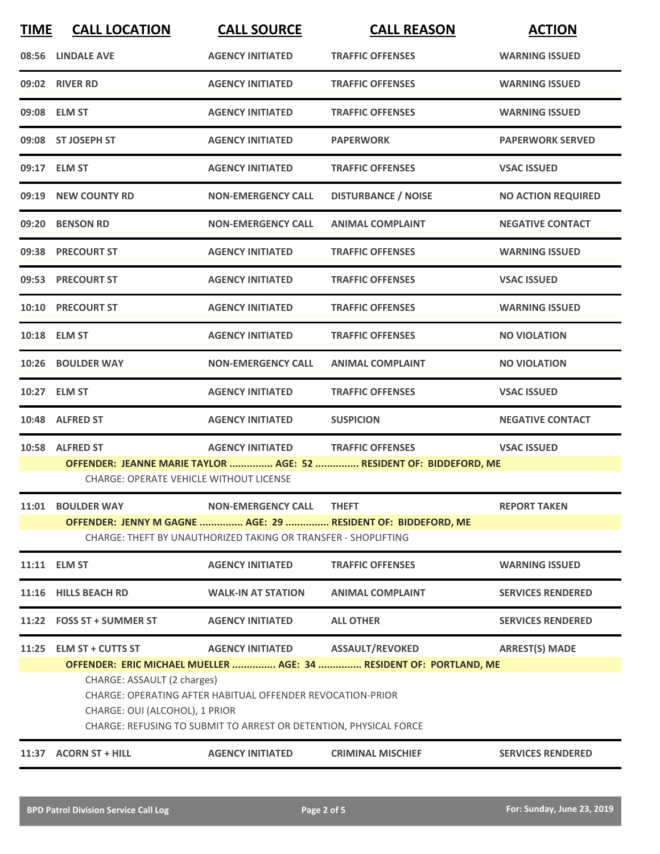| <b>TIME</b> | <b>CALL LOCATION</b>                                                                                                                                                                             | <b>CALL SOURCE</b>                                             | <b>CALL REASON</b>                                           | <b>ACTION</b>             |  |
|-------------|--------------------------------------------------------------------------------------------------------------------------------------------------------------------------------------------------|----------------------------------------------------------------|--------------------------------------------------------------|---------------------------|--|
|             | 08:56 LINDALE AVE                                                                                                                                                                                | <b>AGENCY INITIATED</b>                                        | <b>TRAFFIC OFFENSES</b>                                      | <b>WARNING ISSUED</b>     |  |
|             | 09:02 RIVER RD                                                                                                                                                                                   | <b>AGENCY INITIATED</b>                                        | <b>TRAFFIC OFFENSES</b>                                      | <b>WARNING ISSUED</b>     |  |
|             | 09:08 ELM ST                                                                                                                                                                                     | <b>AGENCY INITIATED</b>                                        | <b>TRAFFIC OFFENSES</b>                                      | <b>WARNING ISSUED</b>     |  |
|             | 09:08 ST JOSEPH ST                                                                                                                                                                               | <b>AGENCY INITIATED</b>                                        | <b>PAPERWORK</b>                                             | <b>PAPERWORK SERVED</b>   |  |
|             | 09:17 ELM ST                                                                                                                                                                                     | <b>AGENCY INITIATED</b>                                        | <b>TRAFFIC OFFENSES</b>                                      | <b>VSAC ISSUED</b>        |  |
|             | 09:19 NEW COUNTY RD                                                                                                                                                                              | <b>NON-EMERGENCY CALL</b>                                      | <b>DISTURBANCE / NOISE</b>                                   | <b>NO ACTION REQUIRED</b> |  |
|             | 09:20 BENSON RD                                                                                                                                                                                  | <b>NON-EMERGENCY CALL</b>                                      | <b>ANIMAL COMPLAINT</b>                                      | <b>NEGATIVE CONTACT</b>   |  |
|             | 09:38 PRECOURT ST                                                                                                                                                                                | <b>AGENCY INITIATED</b>                                        | <b>TRAFFIC OFFENSES</b>                                      | <b>WARNING ISSUED</b>     |  |
|             | 09:53 PRECOURT ST                                                                                                                                                                                | <b>AGENCY INITIATED</b>                                        | <b>TRAFFIC OFFENSES</b>                                      | <b>VSAC ISSUED</b>        |  |
|             | 10:10 PRECOURT ST                                                                                                                                                                                | <b>AGENCY INITIATED</b>                                        | <b>TRAFFIC OFFENSES</b>                                      | <b>WARNING ISSUED</b>     |  |
|             | 10:18 ELM ST                                                                                                                                                                                     | <b>AGENCY INITIATED</b>                                        | <b>TRAFFIC OFFENSES</b>                                      | <b>NO VIOLATION</b>       |  |
|             | 10:26 BOULDER WAY                                                                                                                                                                                | <b>NON-EMERGENCY CALL</b>                                      | <b>ANIMAL COMPLAINT</b>                                      | <b>NO VIOLATION</b>       |  |
|             | 10:27 ELM ST                                                                                                                                                                                     | <b>AGENCY INITIATED</b>                                        | <b>TRAFFIC OFFENSES</b>                                      | <b>VSAC ISSUED</b>        |  |
|             | 10:48 ALFRED ST                                                                                                                                                                                  | <b>AGENCY INITIATED</b>                                        | <b>SUSPICION</b>                                             | <b>NEGATIVE CONTACT</b>   |  |
|             | 10:58 ALFRED ST                                                                                                                                                                                  | <b>AGENCY INITIATED</b>                                        | <b>TRAFFIC OFFENSES</b>                                      | <b>VSAC ISSUED</b>        |  |
|             | OFFENDER: JEANNE MARIE TAYLOR  AGE: 52  RESIDENT OF: BIDDEFORD, ME<br><b>CHARGE: OPERATE VEHICLE WITHOUT LICENSE</b>                                                                             |                                                                |                                                              |                           |  |
|             | 11:01 BOULDER WAY                                                                                                                                                                                | <b>NON-EMERGENCY CALL</b>                                      | <b>THEFT</b>                                                 | <b>REPORT TAKEN</b>       |  |
|             |                                                                                                                                                                                                  | CHARGE: THEFT BY UNAUTHORIZED TAKING OR TRANSFER - SHOPLIFTING | OFFENDER: JENNY M GAGNE  AGE: 29  RESIDENT OF: BIDDEFORD, ME |                           |  |
|             | 11:11 ELM ST                                                                                                                                                                                     | <b>AGENCY INITIATED</b>                                        | <b>TRAFFIC OFFENSES</b>                                      | <b>WARNING ISSUED</b>     |  |
|             | 11:16 HILLS BEACH RD                                                                                                                                                                             | <b>WALK-IN AT STATION</b>                                      | <b>ANIMAL COMPLAINT</b>                                      | <b>SERVICES RENDERED</b>  |  |
|             | 11:22 FOSS ST + SUMMER ST                                                                                                                                                                        | <b>AGENCY INITIATED</b>                                        | <b>ALL OTHER</b>                                             | <b>SERVICES RENDERED</b>  |  |
|             | 11:25 ELM ST + CUTTS ST                                                                                                                                                                          | <b>AGENCY INITIATED</b>                                        | <b>ASSAULT/REVOKED</b>                                       | <b>ARREST(S) MADE</b>     |  |
|             | OFFENDER: ERIC MICHAEL MUELLER  AGE: 34  RESIDENT OF: PORTLAND, ME                                                                                                                               |                                                                |                                                              |                           |  |
|             | CHARGE: ASSAULT (2 charges)<br>CHARGE: OPERATING AFTER HABITUAL OFFENDER REVOCATION-PRIOR<br>CHARGE: OUI (ALCOHOL), 1 PRIOR<br>CHARGE: REFUSING TO SUBMIT TO ARREST OR DETENTION, PHYSICAL FORCE |                                                                |                                                              |                           |  |
|             | 11:37 ACORN ST + HILL                                                                                                                                                                            | <b>AGENCY INITIATED</b>                                        | <b>CRIMINAL MISCHIEF</b>                                     | <b>SERVICES RENDERED</b>  |  |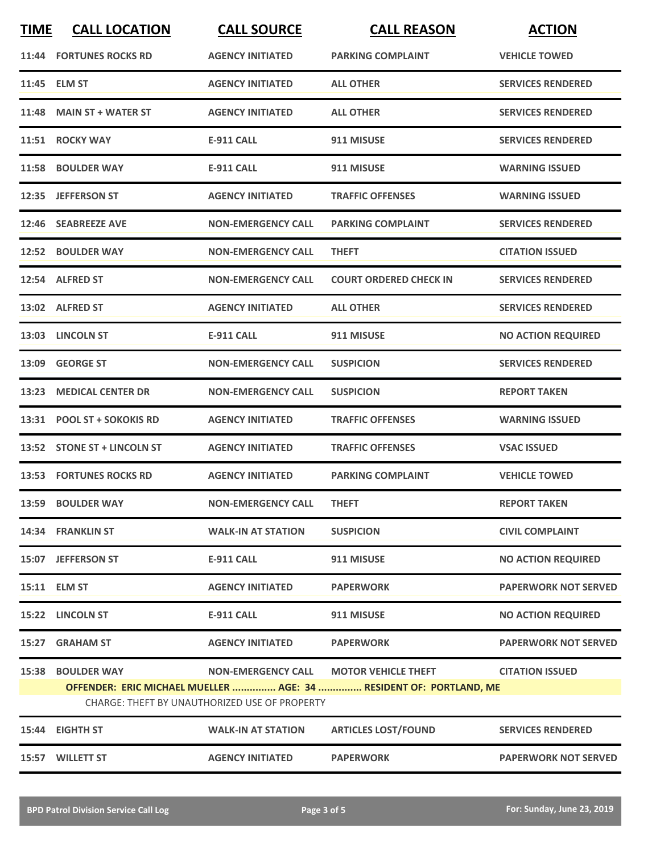| <b>TIME</b> | <b>CALL LOCATION</b>        | <b>CALL SOURCE</b>                                   | <b>CALL REASON</b>                                                 | <b>ACTION</b>               |
|-------------|-----------------------------|------------------------------------------------------|--------------------------------------------------------------------|-----------------------------|
|             | 11:44 FORTUNES ROCKS RD     | <b>AGENCY INITIATED</b>                              | <b>PARKING COMPLAINT</b>                                           | <b>VEHICLE TOWED</b>        |
|             | 11:45 ELM ST                | <b>AGENCY INITIATED</b>                              | <b>ALL OTHER</b>                                                   | <b>SERVICES RENDERED</b>    |
|             | 11:48 MAIN ST + WATER ST    | <b>AGENCY INITIATED</b>                              | <b>ALL OTHER</b>                                                   | <b>SERVICES RENDERED</b>    |
|             | 11:51 ROCKY WAY             | <b>E-911 CALL</b>                                    | 911 MISUSE                                                         | <b>SERVICES RENDERED</b>    |
|             | 11:58 BOULDER WAY           | <b>E-911 CALL</b>                                    | 911 MISUSE                                                         | <b>WARNING ISSUED</b>       |
|             | 12:35 JEFFERSON ST          | <b>AGENCY INITIATED</b>                              | <b>TRAFFIC OFFENSES</b>                                            | <b>WARNING ISSUED</b>       |
|             | 12:46 SEABREEZE AVE         | <b>NON-EMERGENCY CALL</b>                            | <b>PARKING COMPLAINT</b>                                           | <b>SERVICES RENDERED</b>    |
|             | 12:52 BOULDER WAY           | <b>NON-EMERGENCY CALL</b>                            | <b>THEFT</b>                                                       | <b>CITATION ISSUED</b>      |
|             | 12:54 ALFRED ST             | <b>NON-EMERGENCY CALL</b>                            | <b>COURT ORDERED CHECK IN</b>                                      | <b>SERVICES RENDERED</b>    |
|             | 13:02 ALFRED ST             | <b>AGENCY INITIATED</b>                              | <b>ALL OTHER</b>                                                   | <b>SERVICES RENDERED</b>    |
|             | 13:03 LINCOLN ST            | E-911 CALL                                           | 911 MISUSE                                                         | <b>NO ACTION REQUIRED</b>   |
|             | 13:09 GEORGE ST             | <b>NON-EMERGENCY CALL</b>                            | <b>SUSPICION</b>                                                   | <b>SERVICES RENDERED</b>    |
|             | 13:23 MEDICAL CENTER DR     | <b>NON-EMERGENCY CALL</b>                            | <b>SUSPICION</b>                                                   | <b>REPORT TAKEN</b>         |
|             | 13:31 POOL ST + SOKOKIS RD  | <b>AGENCY INITIATED</b>                              | <b>TRAFFIC OFFENSES</b>                                            | <b>WARNING ISSUED</b>       |
|             | 13:52 STONE ST + LINCOLN ST | <b>AGENCY INITIATED</b>                              | <b>TRAFFIC OFFENSES</b>                                            | <b>VSAC ISSUED</b>          |
|             | 13:53 FORTUNES ROCKS RD     | <b>AGENCY INITIATED</b>                              | <b>PARKING COMPLAINT</b>                                           | <b>VEHICLE TOWED</b>        |
|             | 13:59 BOULDER WAY           | <b>NON-EMERGENCY CALL</b>                            | <b>THEFT</b>                                                       | <b>REPORT TAKEN</b>         |
|             | 14:34 FRANKLIN ST           | <b>WALK-IN AT STATION</b>                            | <b>SUSPICION</b>                                                   | <b>CIVIL COMPLAINT</b>      |
|             | 15:07 JEFFERSON ST          | <b>E-911 CALL</b>                                    | 911 MISUSE                                                         | <b>NO ACTION REQUIRED</b>   |
|             | 15:11 ELM ST                | <b>AGENCY INITIATED</b>                              | <b>PAPERWORK</b>                                                   | <b>PAPERWORK NOT SERVED</b> |
|             | 15:22 LINCOLN ST            | <b>E-911 CALL</b>                                    | 911 MISUSE                                                         | <b>NO ACTION REQUIRED</b>   |
| 15:27       | <b>GRAHAM ST</b>            | <b>AGENCY INITIATED</b>                              | <b>PAPERWORK</b>                                                   | <b>PAPERWORK NOT SERVED</b> |
| 15:38       | <b>BOULDER WAY</b>          | <b>NON-EMERGENCY CALL</b>                            | <b>MOTOR VEHICLE THEFT</b>                                         | <b>CITATION ISSUED</b>      |
|             |                             | <b>CHARGE: THEFT BY UNAUTHORIZED USE OF PROPERTY</b> | OFFENDER: ERIC MICHAEL MUELLER  AGE: 34  RESIDENT OF: PORTLAND, ME |                             |
|             | 15:44 EIGHTH ST             | <b>WALK-IN AT STATION</b>                            | <b>ARTICLES LOST/FOUND</b>                                         | <b>SERVICES RENDERED</b>    |
|             | 15:57 WILLETT ST            | <b>AGENCY INITIATED</b>                              | <b>PAPERWORK</b>                                                   | <b>PAPERWORK NOT SERVED</b> |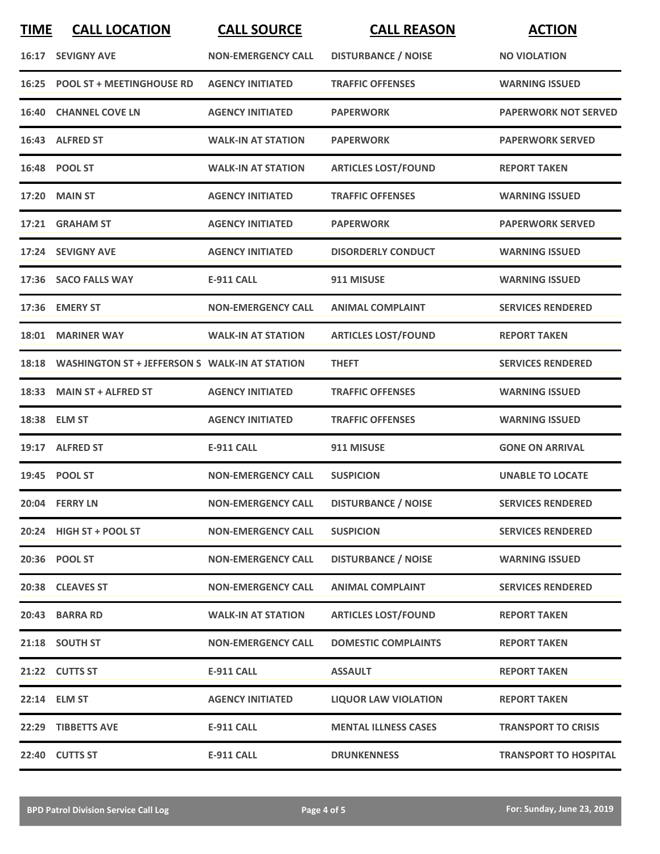| <b>TIME</b> | <b>CALL LOCATION</b>                           | <b>CALL SOURCE</b>        | <b>CALL REASON</b>          | <b>ACTION</b>                |
|-------------|------------------------------------------------|---------------------------|-----------------------------|------------------------------|
|             | 16:17 SEVIGNY AVE                              | <b>NON-EMERGENCY CALL</b> | <b>DISTURBANCE / NOISE</b>  | <b>NO VIOLATION</b>          |
|             | 16:25 POOL ST + MEETINGHOUSE RD                | <b>AGENCY INITIATED</b>   | <b>TRAFFIC OFFENSES</b>     | <b>WARNING ISSUED</b>        |
|             | <b>16:40 CHANNEL COVE LN</b>                   | <b>AGENCY INITIATED</b>   | <b>PAPERWORK</b>            | <b>PAPERWORK NOT SERVED</b>  |
|             | 16:43 ALFRED ST                                | <b>WALK-IN AT STATION</b> | <b>PAPERWORK</b>            | <b>PAPERWORK SERVED</b>      |
|             | 16:48 POOL ST                                  | <b>WALK-IN AT STATION</b> | <b>ARTICLES LOST/FOUND</b>  | <b>REPORT TAKEN</b>          |
|             | <b>17:20 MAIN ST</b>                           | <b>AGENCY INITIATED</b>   | <b>TRAFFIC OFFENSES</b>     | <b>WARNING ISSUED</b>        |
|             | 17:21 GRAHAM ST                                | <b>AGENCY INITIATED</b>   | <b>PAPERWORK</b>            | <b>PAPERWORK SERVED</b>      |
|             | 17:24 SEVIGNY AVE                              | <b>AGENCY INITIATED</b>   | <b>DISORDERLY CONDUCT</b>   | <b>WARNING ISSUED</b>        |
|             | 17:36 SACO FALLS WAY                           | <b>E-911 CALL</b>         | 911 MISUSE                  | <b>WARNING ISSUED</b>        |
|             | 17:36 EMERY ST                                 | <b>NON-EMERGENCY CALL</b> | <b>ANIMAL COMPLAINT</b>     | <b>SERVICES RENDERED</b>     |
|             | 18:01 MARINER WAY                              | <b>WALK-IN AT STATION</b> | <b>ARTICLES LOST/FOUND</b>  | <b>REPORT TAKEN</b>          |
| 18:18       | WASHINGTON ST + JEFFERSON S WALK-IN AT STATION |                           | <b>THEFT</b>                | <b>SERVICES RENDERED</b>     |
| 18:33       | <b>MAIN ST + ALFRED ST</b>                     | <b>AGENCY INITIATED</b>   | <b>TRAFFIC OFFENSES</b>     | <b>WARNING ISSUED</b>        |
|             | 18:38 ELM ST                                   | <b>AGENCY INITIATED</b>   | <b>TRAFFIC OFFENSES</b>     | <b>WARNING ISSUED</b>        |
|             | 19:17 ALFRED ST                                | <b>E-911 CALL</b>         | 911 MISUSE                  | <b>GONE ON ARRIVAL</b>       |
|             | 19:45 POOL ST                                  | <b>NON-EMERGENCY CALL</b> | <b>SUSPICION</b>            | <b>UNABLE TO LOCATE</b>      |
|             | 20:04 FERRY LN                                 | <b>NON-EMERGENCY CALL</b> | <b>DISTURBANCE / NOISE</b>  | <b>SERVICES RENDERED</b>     |
|             | 20:24 HIGH ST + POOL ST                        | <b>NON-EMERGENCY CALL</b> | <b>SUSPICION</b>            | <b>SERVICES RENDERED</b>     |
|             | 20:36 POOL ST                                  | <b>NON-EMERGENCY CALL</b> | <b>DISTURBANCE / NOISE</b>  | <b>WARNING ISSUED</b>        |
|             | 20:38 CLEAVES ST                               | <b>NON-EMERGENCY CALL</b> | <b>ANIMAL COMPLAINT</b>     | <b>SERVICES RENDERED</b>     |
|             | 20:43 BARRA RD                                 | <b>WALK-IN AT STATION</b> | <b>ARTICLES LOST/FOUND</b>  | <b>REPORT TAKEN</b>          |
|             | 21:18 SOUTH ST                                 | <b>NON-EMERGENCY CALL</b> | <b>DOMESTIC COMPLAINTS</b>  | <b>REPORT TAKEN</b>          |
|             | 21:22 CUTTS ST                                 | <b>E-911 CALL</b>         | <b>ASSAULT</b>              | <b>REPORT TAKEN</b>          |
|             | 22:14 ELM ST                                   | <b>AGENCY INITIATED</b>   | <b>LIQUOR LAW VIOLATION</b> | <b>REPORT TAKEN</b>          |
|             | 22:29 TIBBETTS AVE                             | <b>E-911 CALL</b>         | <b>MENTAL ILLNESS CASES</b> | <b>TRANSPORT TO CRISIS</b>   |
|             | 22:40 CUTTS ST                                 | <b>E-911 CALL</b>         | <b>DRUNKENNESS</b>          | <b>TRANSPORT TO HOSPITAL</b> |